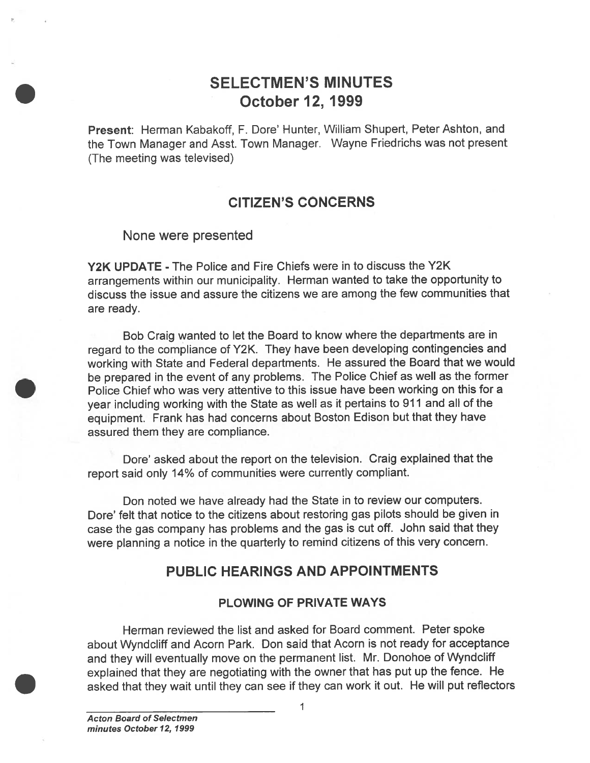# SELECTMEN'S MINUTES October 12, 1999

Present: Herman Kabakoff, F. Dore' Hunter, William Shupert, Peter Ashton, and the Town Manager and Asst. Town Manager. Wayne Friedrichs was not presen<sup>t</sup> (The meeting was televised)

# CITIZEN'S CONCERNS

### None were presented

Y2K UPDATE - The Police and Fire Chiefs were in to discuss the Y2K arrangements within our municipality. Herman wanted to take the opportunity to discuss the issue and assure the citizens we are among the few communities that are ready.

Bob Craig wanted to let the Board to know where the departments are in regar<sup>d</sup> to the compliance of Y2K. They have been developing contingencies and working with State and Federal departments. He assured the Board that we would be prepare<sup>d</sup> in the event of any problems. The Police Chief as well as the former Police Chief who was very affentive to this issue have been working on this for <sup>a</sup> year including working with the State as well as it pertains to 911 and all of the equipment. Frank has had concerns about Boston Edison but that they have assured them they are compliance.

Dore' asked about the repor<sup>t</sup> on the television. Craig explained that the repor<sup>t</sup> said only 14% of communities were currently compliant.

Don noted we have already had the State in to review our computers. Dore' felt that notice to the citizens about restoring gas pilots should be given in case the gas company has problems and the gas is cut off. John said that they were <sup>p</sup>lanning <sup>a</sup> notice in the quarterly to remind citizens of this very concern.

## PUBLIC HEARINGS AND APPOINTMENTS

### PLOWING OF PRIVATE WAYS

Herman reviewed the list and asked for Board comment. Peter spoke about Wyndcliff and Acorn Park. Don said that Acorn is not ready for acceptance and they will eventually move on the permanen<sup>t</sup> list. Mr. Donohoe of Wyndcliff explained that they are negotiating with the owner that has pu<sup>t</sup> up the fence. He asked that they wait until they can see if they can work it out. He will pu<sup>t</sup> reflectors

1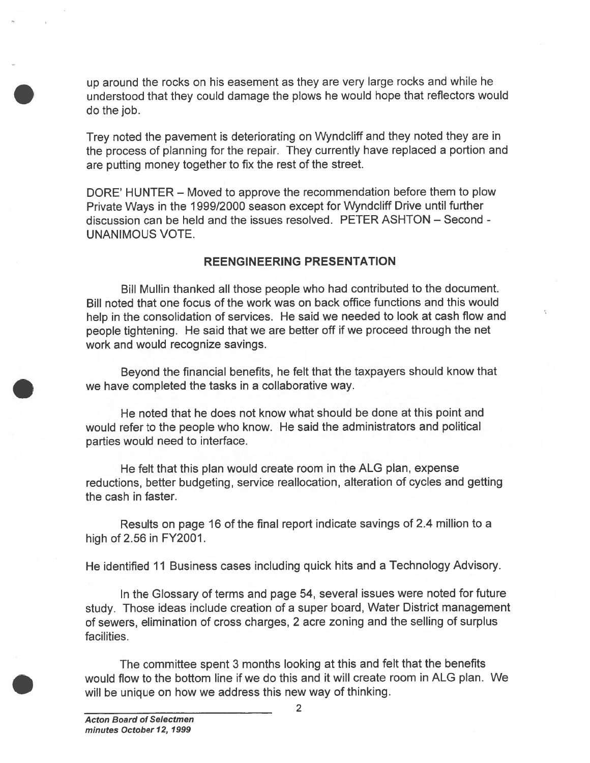up around the rocks on his easement as they are very large rocks and while he understood that they could damage the <sup>p</sup>lows he would hope that reflectors would do the job.

Trey noted the pavemen<sup>t</sup> is deteriorating on Wyndcliff and they noted they are in the process of <sup>p</sup>lanning for the repair. They currently have replaced <sup>a</sup> portion and are putting money together to fix the rest of the street.

DORE' HUNTER — Moved to approve the recommendation before them to plow Private Ways in the 1999/2000 season excep<sup>t</sup> for Wyndcliff Drive until further discussion can be held and the issues resolved. PETER ASHTON — Second - UNANIMOUS VOTE.

### REENGINEERING PRESENTATION

Bill Mullin thanked all those people who had contributed to the document. Bill noted that one focus of the work was on back office functions and this would help in the consolidation of services. He said we needed to look at cash flow and people tightening. He said that we are better off if we procee<sup>d</sup> through the net work and would recognize savings.

Beyond the financial benefits, he felt that the taxpayers should know that we have completed the tasks in <sup>a</sup> collaborative way.

He noted that he does not know what should be done at this point and would refer to the people who know. He said the administrators and political parties would need to interface.

He felt that this plan would create room in the ALG plan, expense reductions, better budgeting, service reallocation, alteration of cycles and getting the cash in faster.

Results on page 16 of the final repor<sup>t</sup> indicate savings of 2.4 million to <sup>a</sup> high of 2.56 in FY2001.

He identified 11 Business cases including quick hits and <sup>a</sup> Technology Advisory.

In the Glossary of terms and page 54, several issues were noted for future study. Those ideas include creation of <sup>a</sup> super board, Water District managemen<sup>t</sup> of sewers, elimination of cross charges, 2 acre zoning and the selling of surplus facilities.

The committee spen<sup>t</sup> 3 months looking at this and felt that the benefits would flow to the bottom line if we do this and it will create room in ALG plan. We will be unique on how we address this new way of thinking.

2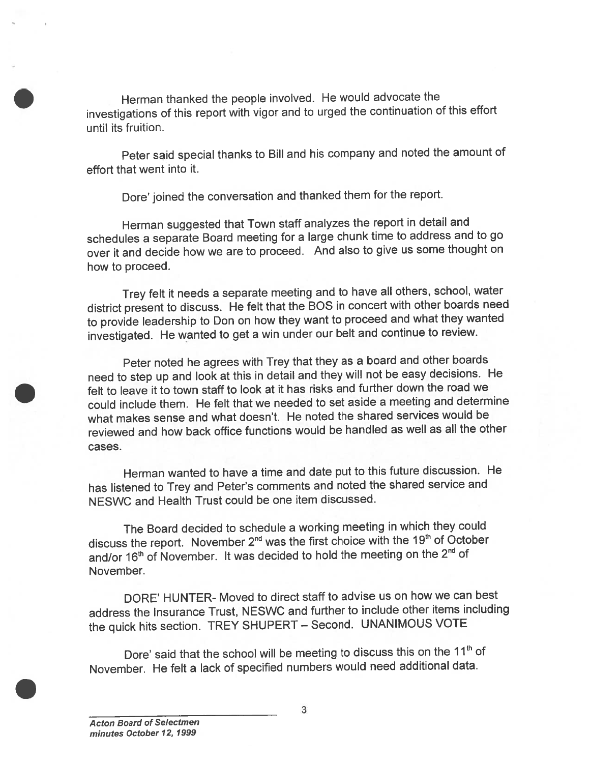Herman thanked the people involved. He would advocate the investigations of this repor<sup>t</sup> with vigor and to urge<sup>d</sup> the continuation of this effort until its fruition.

Peter said special thanks to Bill and his company and noted the amount of effort that went into it.

Dote' joined the conversation and thanked them for the report.

Herman suggested that Town staff analyzes the repor<sup>t</sup> in detail and schedules <sup>a</sup> separate Board meeting for <sup>a</sup> large chunk time to address and to go over it and decide how we are to proceed. And also to <sup>g</sup>ive us some thought on how to proceed.

Trey felt it needs <sup>a</sup> separate meeting and to have all others, school, water district presen<sup>t</sup> to discuss. He felt that the BOS in concert with other boards need to provide leadership to Don on how they want to procee<sup>d</sup> and what they wanted investigated. He wanted to ge<sup>t</sup> <sup>a</sup> win under our belt and continue to review.

Peter noted he agrees with Trey that they as <sup>a</sup> board and other boards need to step up and look at this in detail and they will not be easy decisions. He felt to leave it to town staff to look at it has risks and further down the road we could include them. He felt that we needed to set aside <sup>a</sup> meeting and determine what makes sense and what doesn't. He noted the shared services would be reviewed and how back office functions would be handled as well as all the other cases.

Herman wanted to have <sup>a</sup> time and date pu<sup>t</sup> to this future discussion. He has listened to Trey and Peter's comments and noted the shared service and NESWC and Health Trust could be one item discussed.

The Board decided to schedule <sup>a</sup> working meeting in which they could discuss the report. November  $2^{nd}$  was the first choice with the 19<sup>th</sup> of October and/or 16<sup>th</sup> of November. It was decided to hold the meeting on the 2<sup>nd</sup> of November.

DORE' HUNTER- Moved to direct staff to advise us on how we can best address the Insurance Trust, NESWC and further to include other items including the quick hits section. TREY SHUPERT— Second. UNANIMOUS VOTE

Dore' said that the school will be meeting to discuss this on the 11<sup>th</sup> of November. He felt <sup>a</sup> lack of specified numbers would need additional data.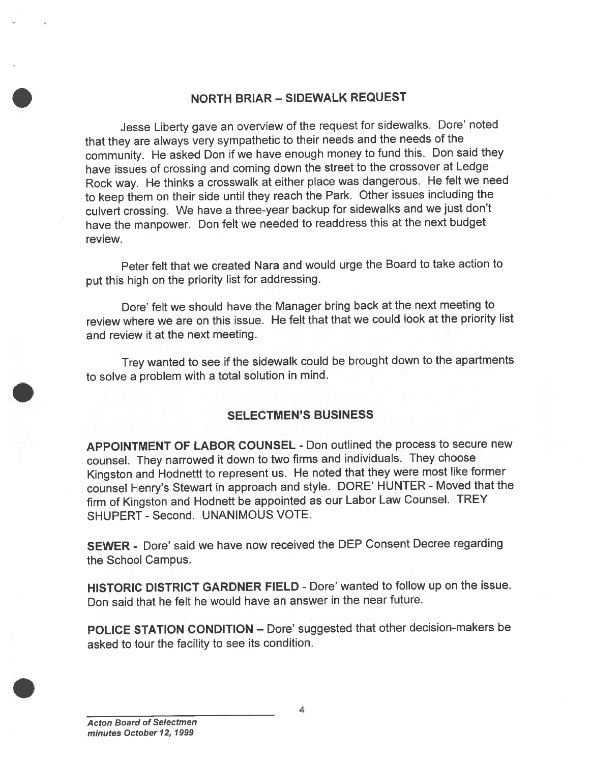### NORTH BRIAR - SIDEWALK REQUEST

Jesse Liberty gave an overview of the reques<sup>t</sup> for sidewalks. Dote' noted that they are always very sympathetic to their needs and the needs of the community. He asked Don if we have enoug<sup>h</sup> money to fund this. Don said they have issues of crossing and coming down the street to the crossover at Ledge Rock way. He thinks <sup>a</sup> crosswalk at either <sup>p</sup>lace was dangerous. He felt we need to keep them on their side until they reach the Park. Other issues including the culvert crossing. We have <sup>a</sup> three-year backup for sidewalks and we just don't have the manpower. Don felt we needed to readdress this at the next budget review.

Peter felt that we created Nara and would urge the Board to take action to pu<sup>t</sup> this high on the priority list for addressing.

Dore' felt we should have the Manager bring back at the next meeting to review where we are on this issue. He felt that that we could look at the priority list and review it at the next meeting.

Trey wanted to see if the sidewalk could be brought down to the apartments to solve <sup>a</sup> problem with <sup>a</sup> total solution in mind.

### SELECTMEN'S BUSINESS

APPOINTMENT OF LABOR COUNSEL - Don outlined the process to secure new counsel. They narrowed it down to two firms and individuals. They choose Kingston and Hodnettt to represent us. He noted that they were most like former counsel Henry's Stewart in approach and style. DORE' HUNTER - Moved that the firm of Kingston and Hodnett be appointed as our Labor Law Counsel. TREY SHUPERT - Second. UNANIMOUS VOTE.

SEWER - Dore' said we have now received the DEP Consent Decree regarding the School Campus.

HISTORIC DISTRICT GARDNER FIELD - Dore' wanted to follow up on the issue. Don said that he felt he would have an answer in the near future.

POLICE STATION CONDITION — Dore' suggested that other decision-makers be asked to tour the facility to see its condition.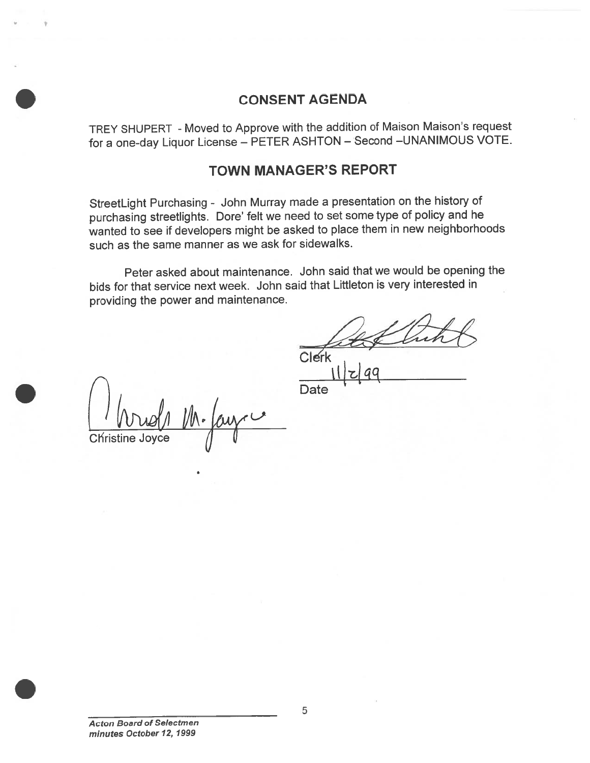## CONSENT AGENDA

TREY SHUPERT -Moved to Approve with the addition of Maison Maison's reques<sup>t</sup> for <sup>a</sup> one-day Liquor License — PETER ASHTON — Second —UNANIMOUS VOTE.

## TOWN MANAGER'S REPORT

StreetLight Purchasing - John Murray made <sup>a</sup> presentation on the history of purchasing streetlights. Dore' felt we need to set some type of policy and he wanted to see if developers might be asked to <sup>p</sup>lace them in new neighborhoods such as the same manner as we ask for sidewalks.

Peter asked about maintenance. John said that we would be opening the bids for that service next week. John said that Littleton is very interested in providing the power and maintenance.

Clerk

Date CKristine Joyce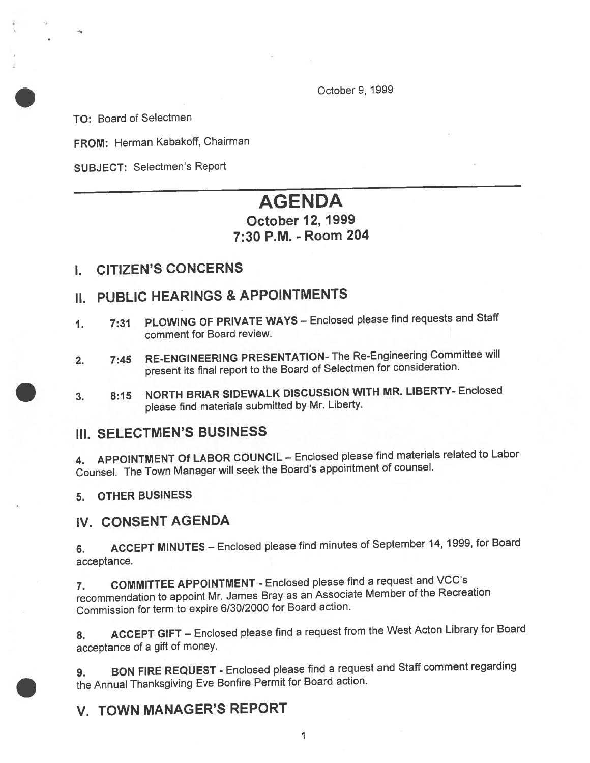October 9, 1999

TO: Board of Selectmen

FROM: Herman Kabakoff, Chairman

SUBJECT: Selectmen's Report

# AGENDA

### October 12, 1999 7:30 P.M. - Room 204

### I. CITIZEN'S CONCERNS

# II. PUBLIC HEARINGS & APPOINTMENTS

- 1. 7:31 PLOWING OF PRIVATE WAYS Enclosed <sup>p</sup>lease find requests and Staff comment for Board review.
- 2. 7:45 RE-ENGINEERING PRESENTATION- The Re-Engineering Committee will presen<sup>t</sup> its final repor<sup>t</sup> to the Board of Selectmen for consideration.
- 3. 8:15 NORTH BRIAR SIDEWALK DISCUSSION WITH MR. LIBERTY- Enclosed <sup>p</sup>lease find materials submitted by Mr. Liberty.

### III. SELECTMEN'S BUSINESS

4. APPOINTMENT Of LABOR COUNCIL — Enclosed <sup>p</sup>lease find materials related to Labor Counsel. The Town Manager will seek the Board's appointment of counsel.

5. OTHER BUSINESS

## IV. CONSENT AGENDA

6. ACCEPT MINUTES — Enclosed <sup>p</sup>lease find minutes of September 14, 1999, for Board acceptance.

7. COMMITTEE APPOINTMENT - Enclosed <sup>p</sup>lease find <sup>a</sup> reques<sup>t</sup> and VCC's recommendation to appoint Mr. James Bray as an Associate Member of the Recreation Commission for term to expire 6/30/2000 for Board action.

8. ACCEPT GIFT — Enclosed <sup>p</sup>lease find <sup>a</sup> reques<sup>t</sup> from the West Acton Library for Board acceptance of <sup>a</sup> <sup>g</sup>ift of money.

9. BON FIRE REQUEST - Enclosed please find a request and Staff comment regarding the Annual Thanksgiving Eve Bonfire Permit for Board action.

# V. TOWN MANAGER'S REPORT

1